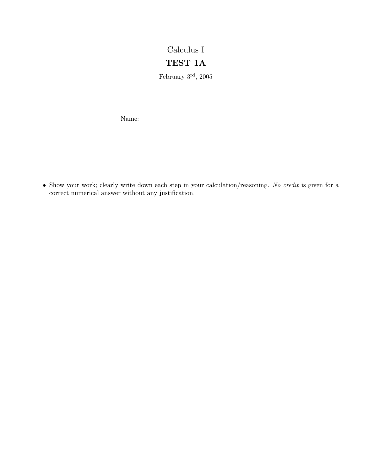## Calculus I

## TEST 1A

February $3^{\rm rd},\,2005$ 

Name:

• Show your work; clearly write down each step in your calculation/reasoning. No credit is given for a correct numerical answer without any justification.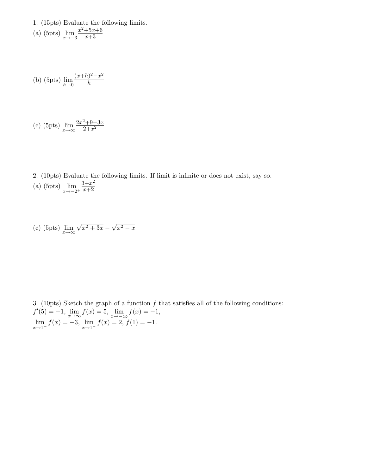- 1. (15pts) Evaluate the following limits.  $x^2+5x+6$
- (a) (5pts)  $\lim_{x \to -3}$ x+3

(b) (5pts) 
$$
\lim_{h \to 0} \frac{(x+h)^2 - x^2}{h}
$$

(c) (5pts) 
$$
\lim_{x \to \infty} \frac{2x^2 + 9 - 3x}{2 + x^2}
$$

2. (10pts) Evaluate the following limits. If limit is infinite or does not exist, say so. (a) (5pts)  $\lim_{x \to -2^+}$  $3+x^2$  $x+2$ 

(c) (5pts) 
$$
\lim_{x \to \infty} \sqrt{x^2 + 3x} - \sqrt{x^2 - x}
$$

3. (10pts) Sketch the graph of a function  $f$  that satisfies all of the following conditions:  $f'(5) = -1$ ,  $\lim_{x \to \infty} f(x) = 5$ ,  $\lim_{x \to -\infty} f(x) = -1$ ,  $\lim_{x \to 1^+} f(x) = -3$ ,  $\lim_{x \to 1^-} f(x) = 2$ ,  $f(1) = -1$ .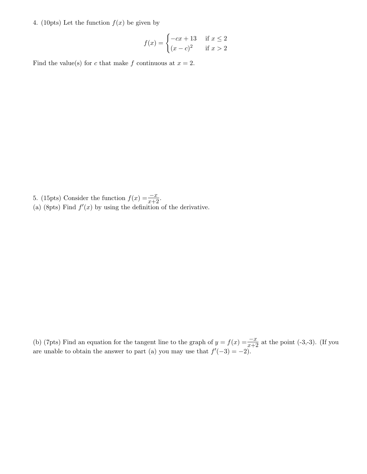4. (10pts) Let the function  $f(x)$  be given by

$$
f(x) = \begin{cases} -cx + 13 & \text{if } x \le 2\\ (x - c)^2 & \text{if } x > 2 \end{cases}
$$

Find the value(s) for c that make f continuous at  $x = 2$ .

- 5. (15pts) Consider the function  $f(x) = \frac{-x}{x+2}$ .
- (a) (8pts) Find  $f'(x)$  by using the definition of the derivative.

(b) (7pts) Find an equation for the tangent line to the graph of  $y = f(x) = \frac{-x}{x+2}$  at the point (-3,-3). (If you are unable to obtain the answer to part (a) you may use that  $f'(-3) = -2$ .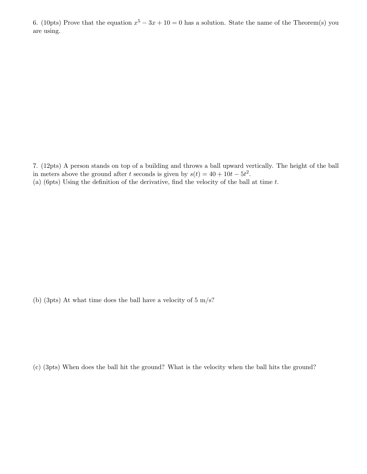6. (10pts) Prove that the equation  $x^5 - 3x + 10 = 0$  has a solution. State the name of the Theorem(s) you are using.

7. (12pts) A person stands on top of a building and throws a ball upward vertically. The height of the ball in meters above the ground after t seconds is given by  $s(t) = 40 + 10t - 5t^2$ . (a) (6pts) Using the definition of the derivative, find the velocity of the ball at time  $t$ .

(b) (3pts) At what time does the ball have a velocity of  $5 \text{ m/s}$ ?

(c) (3pts) When does the ball hit the ground? What is the velocity when the ball hits the ground?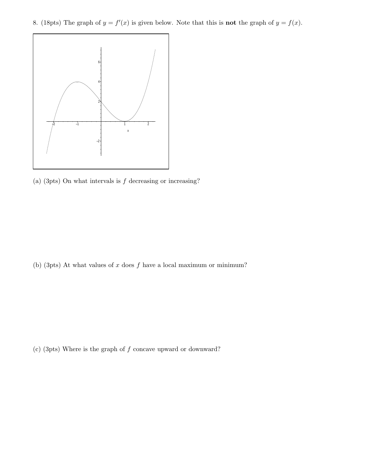8. (18pts) The graph of  $y = f'(x)$  is given below. Note that this is **not** the graph of  $y = f(x)$ .



(a) (3pts) On what intervals is  $f$  decreasing or increasing?

(b) (3pts) At what values of  $x$  does  $f$  have a local maximum or minimum?

(c) (3pts) Where is the graph of f concave upward or downward?